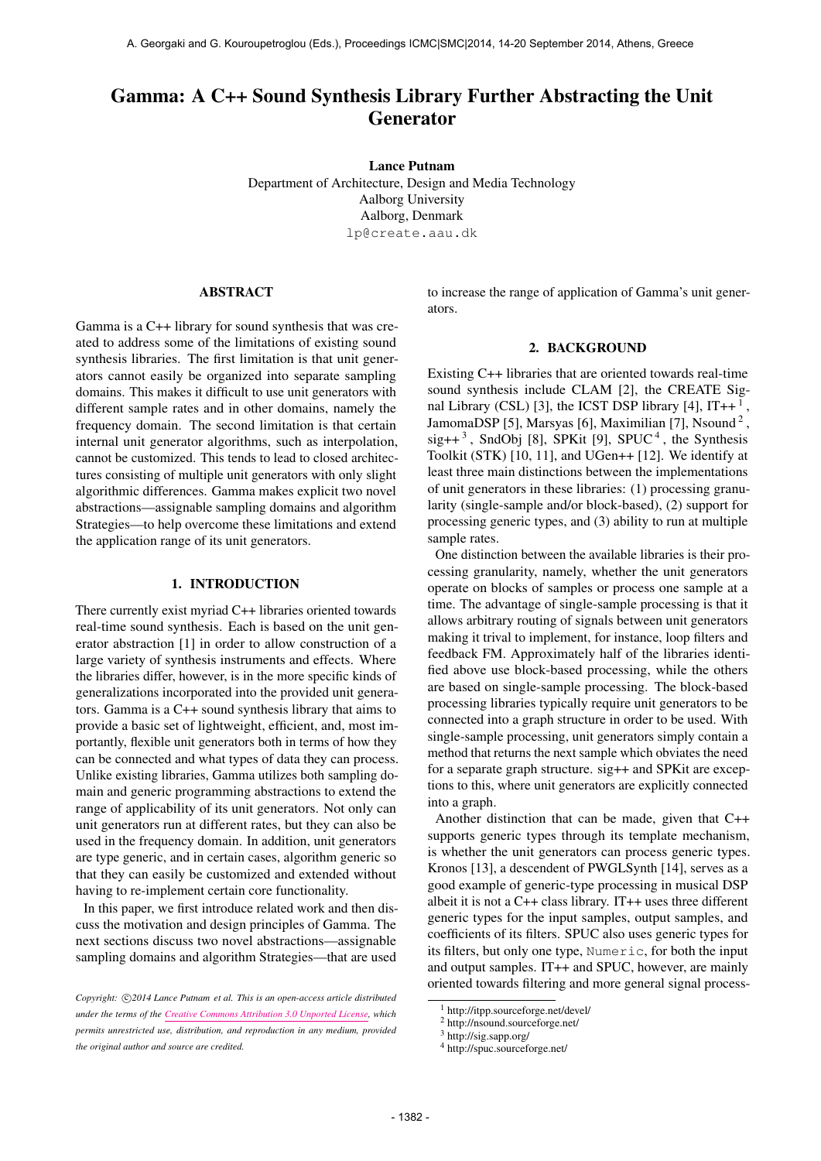# Gamma: A C++ Sound Synthesis Library Further Abstracting the Unit Generator

Lance Putnam Department of Architecture, Design and Media Technology Aalborg University Aalborg, Denmark [lp@create.aau.dk](mailto:lp@create.aau.dk)

#### ABSTRACT

Gamma is a C++ library for sound synthesis that was created to address some of the limitations of existing sound synthesis libraries. The first limitation is that unit generators cannot easily be organized into separate sampling domains. This makes it difficult to use unit generators with different sample rates and in other domains, namely the frequency domain. The second limitation is that certain internal unit generator algorithms, such as interpolation, cannot be customized. This tends to lead to closed architectures consisting of multiple unit generators with only slight algorithmic differences. Gamma makes explicit two novel abstractions—assignable sampling domains and algorithm Strategies—to help overcome these limitations and extend the application range of its unit generators.

#### 1. INTRODUCTION

There currently exist myriad C++ libraries oriented towards real-time sound synthesis. Each is based on the unit generator abstraction [1] in order to allow construction of a large variety of synthesis instruments and effects. Where the libraries differ, however, is in the more specific kinds of generalizations incorporated into the provided unit generators. Gamma is a C++ sound synthesis library that aims to provide a basic set of lightweight, efficient, and, most importantly, flexible unit generators both in terms of how they can be connected and what types of data they can process. Unlike existing libraries, Gamma utilizes both sampling domain and generic programming abstractions to extend the range of applicability of its unit generators. Not only can unit generators run at different rates, but they can also be used in the frequency domain. In addition, unit generators are type generic, and in certain cases, algorithm generic so that they can easily be customized and extended without having to re-implement certain core functionality.

In this paper, we first introduce related work and then discuss the motivation and design principles of Gamma. The next sections discuss two novel abstractions—assignable sampling domains and algorithm Strategies—that are used

to increase the range of application of Gamma's unit generators.

#### 2. BACKGROUND

Existing C++ libraries that are oriented towards real-time sound synthesis include CLAM [2], the CREATE Signal Library (CSL) [3], the ICST DSP library [4],  $IT++^1$ , JamomaDSP [5], Marsyas [6], Maximilian [7], Nsound<sup>2</sup>,  $sig++<sup>3</sup>$ , SndObj [8], SPKit [9], SPUC<sup>4</sup>, the Synthesis Toolkit (STK) [10, 11], and UGen++ [12]. We identify at least three main distinctions between the implementations of unit generators in these libraries: (1) processing granularity (single-sample and/or block-based), (2) support for processing generic types, and (3) ability to run at multiple sample rates.

One distinction between the available libraries is their processing granularity, namely, whether the unit generators operate on blocks of samples or process one sample at a time. The advantage of single-sample processing is that it allows arbitrary routing of signals between unit generators making it trival to implement, for instance, loop filters and feedback FM. Approximately half of the libraries identified above use block-based processing, while the others are based on single-sample processing. The block-based processing libraries typically require unit generators to be connected into a graph structure in order to be used. With single-sample processing, unit generators simply contain a method that returns the next sample which obviates the need for a separate graph structure. sig++ and SPKit are exceptions to this, where unit generators are explicitly connected into a graph.

Another distinction that can be made, given that C++ supports generic types through its template mechanism, is whether the unit generators can process generic types. Kronos [13], a descendent of PWGLSynth [14], serves as a good example of generic-type processing in musical DSP albeit it is not a C++ class library. IT++ uses three different generic types for the input samples, output samples, and coefficients of its filters. SPUC also uses generic types for its filters, but only one type, Numeric, for both the input and output samples. IT++ and SPUC, however, are mainly oriented towards filtering and more general signal process-

Copyright:  $\bigcirc$ 2014 Lance Putnam et al. This is an open-access article distributed *under the terms of the [Creative Commons Attribution 3.0 Unported License,](http://creativecommons.org/licenses/by/3.0/) which permits unrestricted use, distribution, and reproduction in any medium, provided the original author and source are credited.*

<sup>1</sup> http://itpp.sourceforge.net/devel/

<sup>2</sup> http://nsound.sourceforge.net/

<sup>3</sup> http://sig.sapp.org/

<sup>4</sup> http://spuc.sourceforge.net/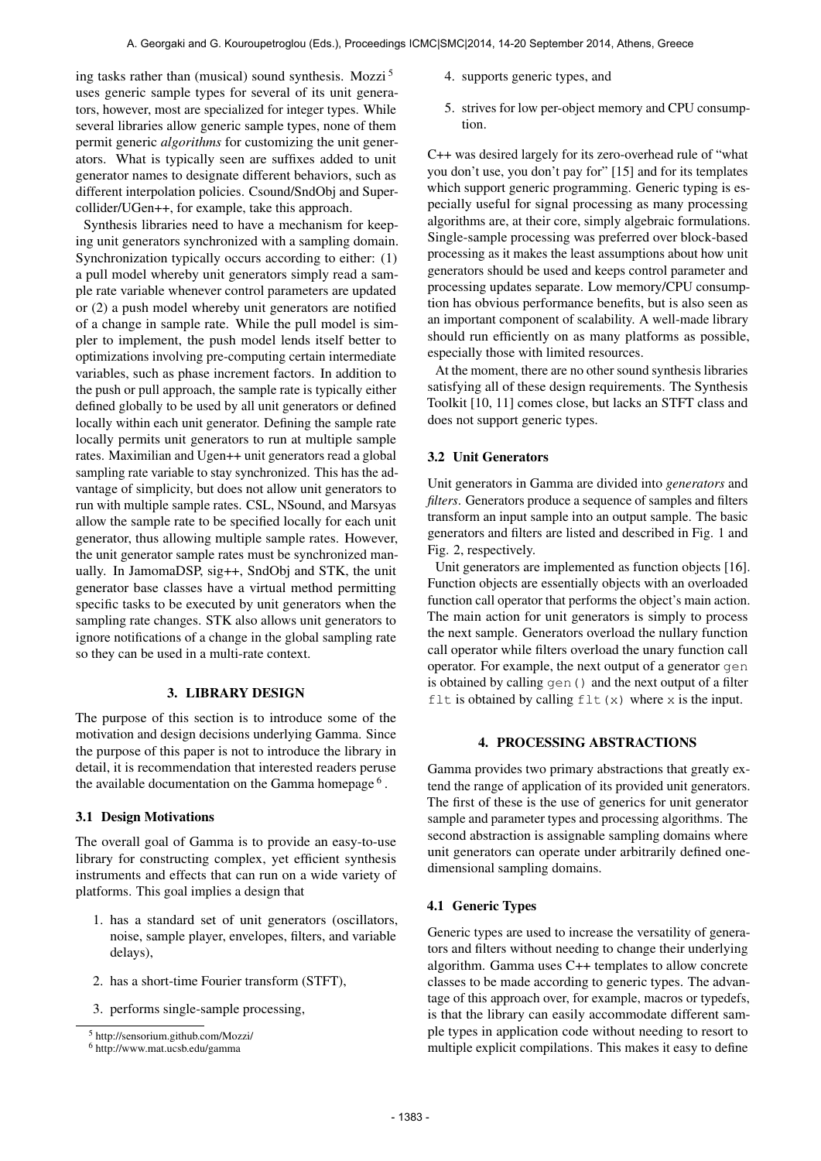ing tasks rather than (musical) sound synthesis. Mozzi<sup>5</sup> uses generic sample types for several of its unit generators, however, most are specialized for integer types. While several libraries allow generic sample types, none of them permit generic *algorithms* for customizing the unit generators. What is typically seen are suffixes added to unit generator names to designate different behaviors, such as different interpolation policies. Csound/SndObj and Supercollider/UGen++, for example, take this approach.

Synthesis libraries need to have a mechanism for keeping unit generators synchronized with a sampling domain. Synchronization typically occurs according to either: (1) a pull model whereby unit generators simply read a sample rate variable whenever control parameters are updated or (2) a push model whereby unit generators are notified of a change in sample rate. While the pull model is simpler to implement, the push model lends itself better to optimizations involving pre-computing certain intermediate variables, such as phase increment factors. In addition to the push or pull approach, the sample rate is typically either defined globally to be used by all unit generators or defined locally within each unit generator. Defining the sample rate locally permits unit generators to run at multiple sample rates. Maximilian and Ugen++ unit generators read a global sampling rate variable to stay synchronized. This has the advantage of simplicity, but does not allow unit generators to run with multiple sample rates. CSL, NSound, and Marsyas allow the sample rate to be specified locally for each unit generator, thus allowing multiple sample rates. However, the unit generator sample rates must be synchronized manually. In JamomaDSP, sig++, SndObj and STK, the unit generator base classes have a virtual method permitting specific tasks to be executed by unit generators when the sampling rate changes. STK also allows unit generators to ignore notifications of a change in the global sampling rate so they can be used in a multi-rate context.

# 3. LIBRARY DESIGN

The purpose of this section is to introduce some of the motivation and design decisions underlying Gamma. Since the purpose of this paper is not to introduce the library in detail, it is recommendation that interested readers peruse the available documentation on the Gamma homepage<sup>6</sup>.

#### 3.1 Design Motivations

The overall goal of Gamma is to provide an easy-to-use library for constructing complex, yet efficient synthesis instruments and effects that can run on a wide variety of platforms. This goal implies a design that

- 1. has a standard set of unit generators (oscillators, noise, sample player, envelopes, filters, and variable delays),
- 2. has a short-time Fourier transform (STFT),
- 3. performs single-sample processing,
- 4. supports generic types, and
- 5. strives for low per-object memory and CPU consumption.

C++ was desired largely for its zero-overhead rule of "what you don't use, you don't pay for" [15] and for its templates which support generic programming. Generic typing is especially useful for signal processing as many processing algorithms are, at their core, simply algebraic formulations. Single-sample processing was preferred over block-based processing as it makes the least assumptions about how unit generators should be used and keeps control parameter and processing updates separate. Low memory/CPU consumption has obvious performance benefits, but is also seen as an important component of scalability. A well-made library should run efficiently on as many platforms as possible, especially those with limited resources.

At the moment, there are no other sound synthesis libraries satisfying all of these design requirements. The Synthesis Toolkit [10, 11] comes close, but lacks an STFT class and does not support generic types.

# 3.2 Unit Generators

Unit generators in Gamma are divided into *generators* and *filters*. Generators produce a sequence of samples and filters transform an input sample into an output sample. The basic generators and filters are listed and described in Fig. 1 and Fig. 2, respectively.

Unit generators are implemented as function objects [16]. Function objects are essentially objects with an overloaded function call operator that performs the object's main action. The main action for unit generators is simply to process the next sample. Generators overload the nullary function call operator while filters overload the unary function call operator. For example, the next output of a generator gen is obtained by calling gen() and the next output of a filter flt is obtained by calling  $f$ lt (x) where x is the input.

#### 4. PROCESSING ABSTRACTIONS

Gamma provides two primary abstractions that greatly extend the range of application of its provided unit generators. The first of these is the use of generics for unit generator sample and parameter types and processing algorithms. The second abstraction is assignable sampling domains where unit generators can operate under arbitrarily defined onedimensional sampling domains.

#### 4.1 Generic Types

Generic types are used to increase the versatility of generators and filters without needing to change their underlying algorithm. Gamma uses C++ templates to allow concrete classes to be made according to generic types. The advantage of this approach over, for example, macros or typedefs, is that the library can easily accommodate different sample types in application code without needing to resort to multiple explicit compilations. This makes it easy to define

<sup>5</sup> http://sensorium.github.com/Mozzi/

<sup>6</sup> http://www.mat.ucsb.edu/gamma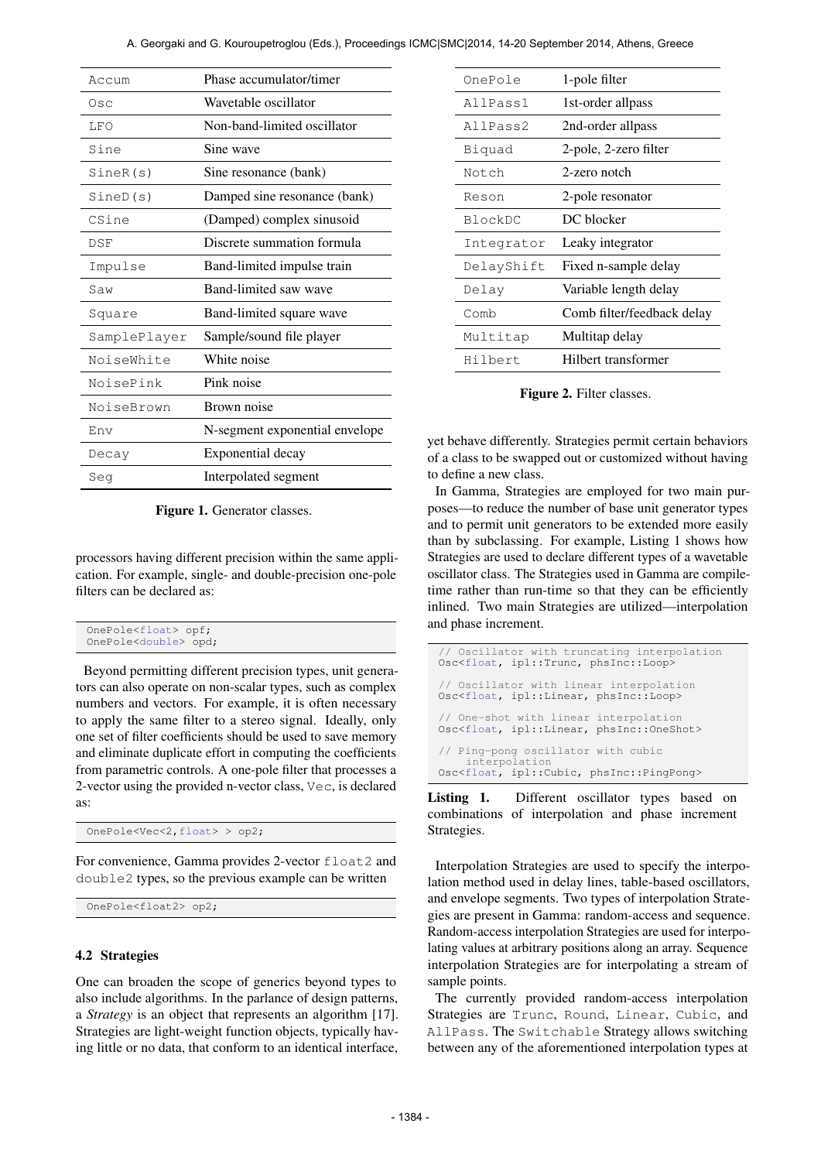| Phase accumulator/timer<br>Wavetable oscillator<br>Non-band-limited oscillator<br>Sine wave |
|---------------------------------------------------------------------------------------------|
|                                                                                             |
|                                                                                             |
|                                                                                             |
|                                                                                             |
| Sine resonance (bank)                                                                       |
| Damped sine resonance (bank)                                                                |
| (Damped) complex sinusoid                                                                   |
| Discrete summation formula                                                                  |
| Band-limited impulse train                                                                  |
| Band-limited saw wave                                                                       |
| Band-limited square wave                                                                    |
| Sample/sound file player                                                                    |
| White noise                                                                                 |
| Pink noise                                                                                  |
| Brown noise                                                                                 |
| N-segment exponential envelope                                                              |
|                                                                                             |
| Exponential decay                                                                           |
|                                                                                             |

Figure 1. Generator classes.

processors having different precision within the same application. For example, single- and double-precision one-pole filters can be declared as:

| OnePole <float> opf;<br/>OnePole<double> opd;</double></float> |
|----------------------------------------------------------------|
|----------------------------------------------------------------|

Beyond permitting different precision types, unit generators can also operate on non-scalar types, such as complex numbers and vectors. For example, it is often necessary to apply the same filter to a stereo signal. Ideally, only one set of filter coefficients should be used to save memory and eliminate duplicate effort in computing the coefficients from parametric controls. A one-pole filter that processes a 2-vector using the provided n-vector class, Vec, is declared as:

OnePole<Vec<2,float> > op2;

For convenience, Gamma provides 2-vector float2 and double2 types, so the previous example can be written

```
OnePole<float2> op2;
```
#### 4.2 Strategies

One can broaden the scope of generics beyond types to also include algorithms. In the parlance of design patterns, a *Strategy* is an object that represents an algorithm [17]. Strategies are light-weight function objects, typically having little or no data, that conform to an identical interface,

| OnePole    | 1-pole filter              |  |
|------------|----------------------------|--|
| AllPass1   | 1st-order allpass          |  |
| AllPass2   | 2nd-order allpass          |  |
| Biquad     | 2-pole, 2-zero filter      |  |
| Notch      | 2-zero notch               |  |
| Reson      | 2-pole resonator           |  |
| BlockDC    | DC blocker                 |  |
| Integrator | Leaky integrator           |  |
| DelayShift | Fixed n-sample delay       |  |
| Delay      | Variable length delay      |  |
| Comb       | Comb filter/feedback delay |  |
| Multitap   | Multitap delay             |  |
| Hilbert    | Hilbert transformer        |  |

Figure 2. Filter classes.

yet behave differently. Strategies permit certain behaviors of a class to be swapped out or customized without having to define a new class.

In Gamma, Strategies are employed for two main purposes—to reduce the number of base unit generator types and to permit unit generators to be extended more easily than by subclassing. For example, Listing 1 shows how Strategies are used to declare different types of a wavetable oscillator class. The Strategies used in Gamma are compiletime rather than run-time so that they can be efficiently inlined. Two main Strategies are utilized—interpolation and phase increment.

| // Oscillator with truncating interpolation<br>Osc <float, ipl::trunc,="" phsinc::loop=""></float,>                     |
|-------------------------------------------------------------------------------------------------------------------------|
| // Oscillator with linear interpolation<br>Osc <float, ipl::linear,="" phsinc::loop=""></float,>                        |
| // One-shot with linear interpolation<br>Osc <float, ipl::linear,="" phsinc::oneshot=""></float,>                       |
| // Ping-pong oscillator with cubic<br>interpolation<br>Osc <float, cubic,="" ipl::="" phsinc::="" pingpong=""></float,> |

Listing 1. Different oscillator types based on combinations of interpolation and phase increment Strategies.

Interpolation Strategies are used to specify the interpolation method used in delay lines, table-based oscillators, and envelope segments. Two types of interpolation Strategies are present in Gamma: random-access and sequence. Random-access interpolation Strategies are used for interpolating values at arbitrary positions along an array. Sequence interpolation Strategies are for interpolating a stream of sample points.

The currently provided random-access interpolation Strategies are Trunc, Round, Linear, Cubic, and AllPass. The Switchable Strategy allows switching between any of the aforementioned interpolation types at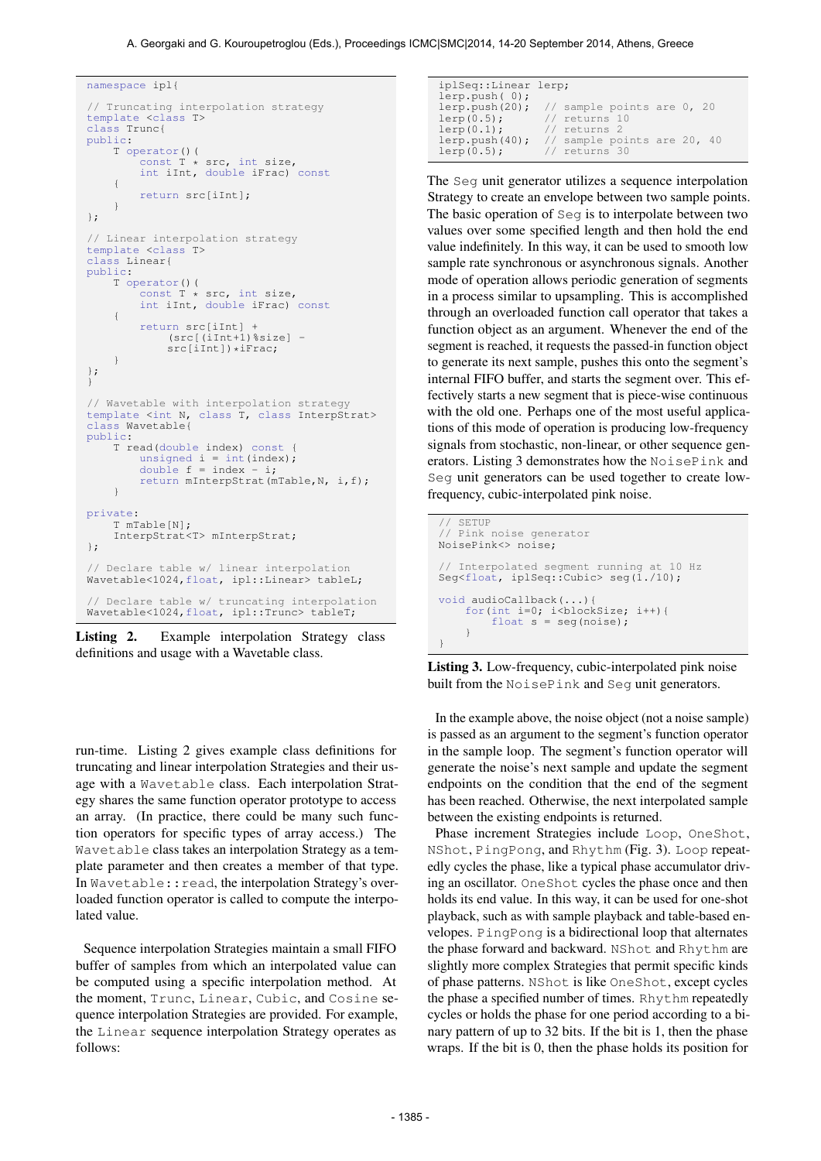A. Georgaki and G. Kouroupetroglou (Eds.), Proceedings ICMC|SMC|2014, 14-20 September 2014, Athens, Greece

```
namespace ipl{
// Truncating interpolation strategy
template <class T>
class Trunc{
public:
    T operator()(
         const \overrightarrow{T} * src, int size,
         int iInt, double iFrac) const
     {
         return src[iInt];
     }
};
// Linear interpolation strategy
template <class T>
class Linear{
public:
    T operator()(<br>const T *
                  \hat{t} * src, int size,
         int iInt, double iFrac) const
     {
         return src[iInt] +
              (src[(iInt+1)%size] -
              src[iInt])*iFrac;
     }
};
}
// Wavetable with interpolation strategy
template <int N, class T, class InterpStrat>
class Wavetable{
public:
    T read(double index) const {
          unsigned i = int(inted);<br>double f = index - i;return mInterpStrat(mTable,N, i,f);
    }
private:
    T mTable[N];
     InterpStrat<T> mInterpStrat;
};
// Declare table w/ linear interpolation
Wavetable<1024,float, ipl::Linear> tableL;
// Declare table w/ truncating interpolation
Wavetable<1024,float, ipl::Trunc> tableT;
```
Listing 2. Example interpolation Strategy class definitions and usage with a Wavetable class.

run-time. Listing 2 gives example class definitions for truncating and linear interpolation Strategies and their usage with a Wavetable class. Each interpolation Strategy shares the same function operator prototype to access an array. (In practice, there could be many such function operators for specific types of array access.) The Wavetable class takes an interpolation Strategy as a template parameter and then creates a member of that type. In Wavetable:: read, the interpolation Strategy's overloaded function operator is called to compute the interpolated value.

Sequence interpolation Strategies maintain a small FIFO buffer of samples from which an interpolated value can be computed using a specific interpolation method. At the moment, Trunc, Linear, Cubic, and Cosine sequence interpolation Strategies are provided. For example, the Linear sequence interpolation Strategy operates as follows:

| iplSeq::Linear lerp; |                                              |
|----------------------|----------------------------------------------|
| lerp.push(0);        |                                              |
|                      | lerp.push(20); $//$ sample points are 0, 20  |
| $lerp(0.5)$ ;        | // returns 10                                |
| $lerp(0.1)$ ;        | // returns 2                                 |
|                      | lerp.push(40); $//$ sample points are 20, 40 |
| $lerp(0.5)$ ;        | // returns 30                                |

The Seg unit generator utilizes a sequence interpolation Strategy to create an envelope between two sample points. The basic operation of Seg is to interpolate between two values over some specified length and then hold the end value indefinitely. In this way, it can be used to smooth low sample rate synchronous or asynchronous signals. Another mode of operation allows periodic generation of segments in a process similar to upsampling. This is accomplished through an overloaded function call operator that takes a function object as an argument. Whenever the end of the segment is reached, it requests the passed-in function object to generate its next sample, pushes this onto the segment's internal FIFO buffer, and starts the segment over. This effectively starts a new segment that is piece-wise continuous with the old one. Perhaps one of the most useful applications of this mode of operation is producing low-frequency signals from stochastic, non-linear, or other sequence generators. Listing 3 demonstrates how the NoisePink and Seg unit generators can be used together to create lowfrequency, cubic-interpolated pink noise.

```
SETUP
// Pink noise generator
NoisePink<> noise;
// Interpolated segment running at 10 Hz
Seg<float, iplSeq::Cubic> seg(1./10);
void audioCallback(...){
    for(int i=0; i<br/>blockSize; i++){
        float s = seg(noise);
    }
}
```
Listing 3. Low-frequency, cubic-interpolated pink noise built from the NoisePink and Seg unit generators.

In the example above, the noise object (not a noise sample) is passed as an argument to the segment's function operator in the sample loop. The segment's function operator will generate the noise's next sample and update the segment endpoints on the condition that the end of the segment has been reached. Otherwise, the next interpolated sample between the existing endpoints is returned.

Phase increment Strategies include Loop, OneShot, NShot, PingPong, and Rhythm (Fig. 3). Loop repeatedly cycles the phase, like a typical phase accumulator driving an oscillator. OneShot cycles the phase once and then holds its end value. In this way, it can be used for one-shot playback, such as with sample playback and table-based envelopes. PingPong is a bidirectional loop that alternates the phase forward and backward. NShot and Rhythm are slightly more complex Strategies that permit specific kinds of phase patterns. NShot is like OneShot, except cycles the phase a specified number of times. Rhythm repeatedly cycles or holds the phase for one period according to a binary pattern of up to 32 bits. If the bit is 1, then the phase wraps. If the bit is 0, then the phase holds its position for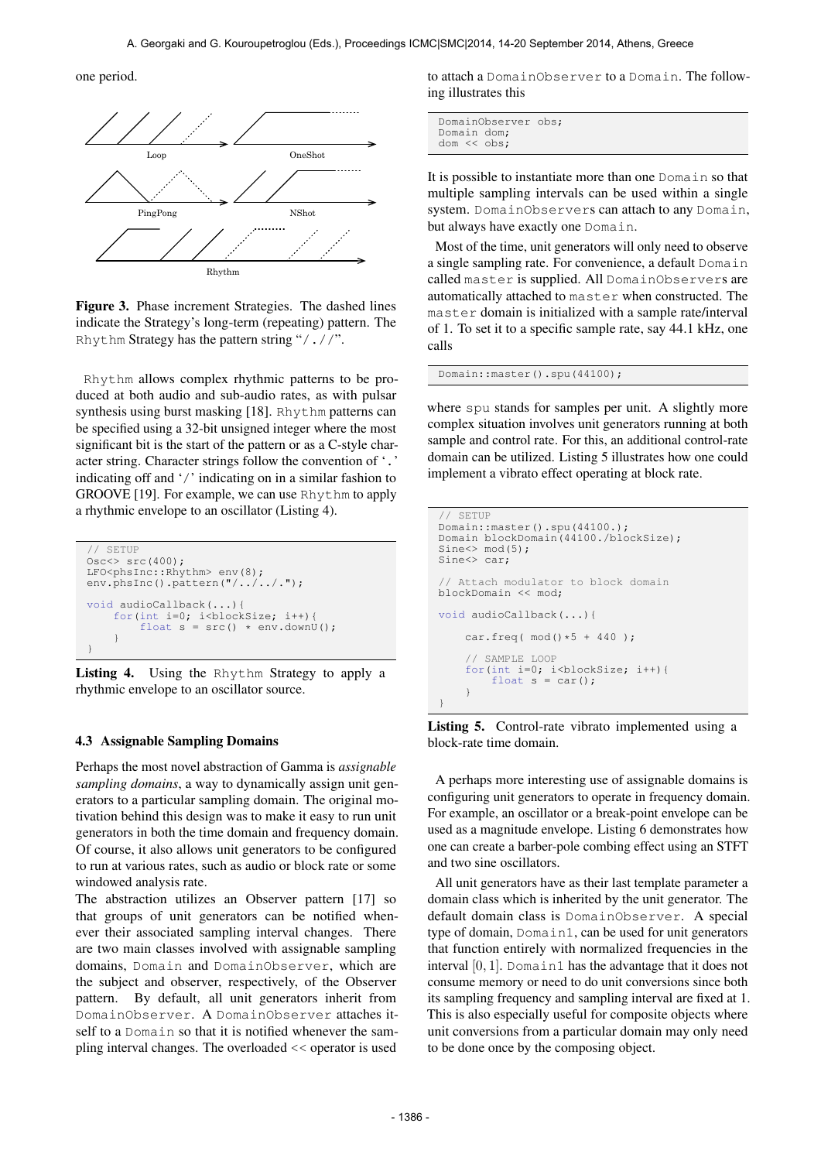one period.



Figure 3. Phase increment Strategies. The dashed lines indicate the Strategy's long-term (repeating) pattern. The Rhythm Strategy has the pattern string "/.//".

Rhythm allows complex rhythmic patterns to be produced at both audio and sub-audio rates, as with pulsar synthesis using burst masking [18]. Rhythm patterns can be specified using a 32-bit unsigned integer where the most significant bit is the start of the pattern or as a C-style character string. Character strings follow the convention of '.' indicating off and '/' indicating on in a similar fashion to GROOVE [19]. For example, we can use Rhythm to apply a rhythmic envelope to an oscillator (Listing 4).

```
// SETUP
Osc<> src(400);
LFO<phsInc::Rhythm> env(8);
env.phsInc().pattern("/../../.");
void audioCallback(...){
     for(int i=0; i<br/> i<br/>blockSize; i++){<br>
float s = src() * env.downU();
     }
}
```
Listing 4. Using the Rhythm Strategy to apply a rhythmic envelope to an oscillator source.

# 4.3 Assignable Sampling Domains

Perhaps the most novel abstraction of Gamma is *assignable sampling domains*, a way to dynamically assign unit generators to a particular sampling domain. The original motivation behind this design was to make it easy to run unit generators in both the time domain and frequency domain. Of course, it also allows unit generators to be configured to run at various rates, such as audio or block rate or some windowed analysis rate.

The abstraction utilizes an Observer pattern [17] so that groups of unit generators can be notified whenever their associated sampling interval changes. There are two main classes involved with assignable sampling domains, Domain and DomainObserver, which are the subject and observer, respectively, of the Observer pattern. By default, all unit generators inherit from DomainObserver. A DomainObserver attaches itself to a Domain so that it is notified whenever the sampling interval changes. The overloaded << operator is used

to attach a DomainObserver to a Domain. The following illustrates this

|                    | DomainObserver obs; |  |
|--------------------|---------------------|--|
| Domain dom;        |                     |  |
| $dom \leq$ $obs$ : |                     |  |

It is possible to instantiate more than one Domain so that multiple sampling intervals can be used within a single system. DomainObservers can attach to any Domain, but always have exactly one Domain.

Most of the time, unit generators will only need to observe a single sampling rate. For convenience, a default Domain called master is supplied. All DomainObservers are automatically attached to master when constructed. The master domain is initialized with a sample rate/interval of 1. To set it to a specific sample rate, say 44.1 kHz, one calls

Domain::master().spu(44100);

where spu stands for samples per unit. A slightly more complex situation involves unit generators running at both sample and control rate. For this, an additional control-rate domain can be utilized. Listing 5 illustrates how one could implement a vibrato effect operating at block rate.

```
// SETUP
Domain::master().spu(44100.);
Domain blockDomain(44100./blockSize);
Sine\leftarrow mod(5);
Sine<> car;
  Attach modulator to block domain
blockDomain << mod;
void audioCallback(...){
    car.freq(mod() * 5 + 440);
    // SAMPLE LOOP
    for(int i=0; i<br/>blockSize; i++){
         float s = car():
    }
}
```
Listing 5. Control-rate vibrato implemented using a block-rate time domain.

A perhaps more interesting use of assignable domains is configuring unit generators to operate in frequency domain. For example, an oscillator or a break-point envelope can be used as a magnitude envelope. Listing 6 demonstrates how one can create a barber-pole combing effect using an STFT and two sine oscillators.

All unit generators have as their last template parameter a domain class which is inherited by the unit generator. The default domain class is DomainObserver. A special type of domain, Domain1, can be used for unit generators that function entirely with normalized frequencies in the interval  $[0, 1]$ . Domain1 has the advantage that it does not consume memory or need to do unit conversions since both its sampling frequency and sampling interval are fixed at 1. This is also especially useful for composite objects where unit conversions from a particular domain may only need to be done once by the composing object.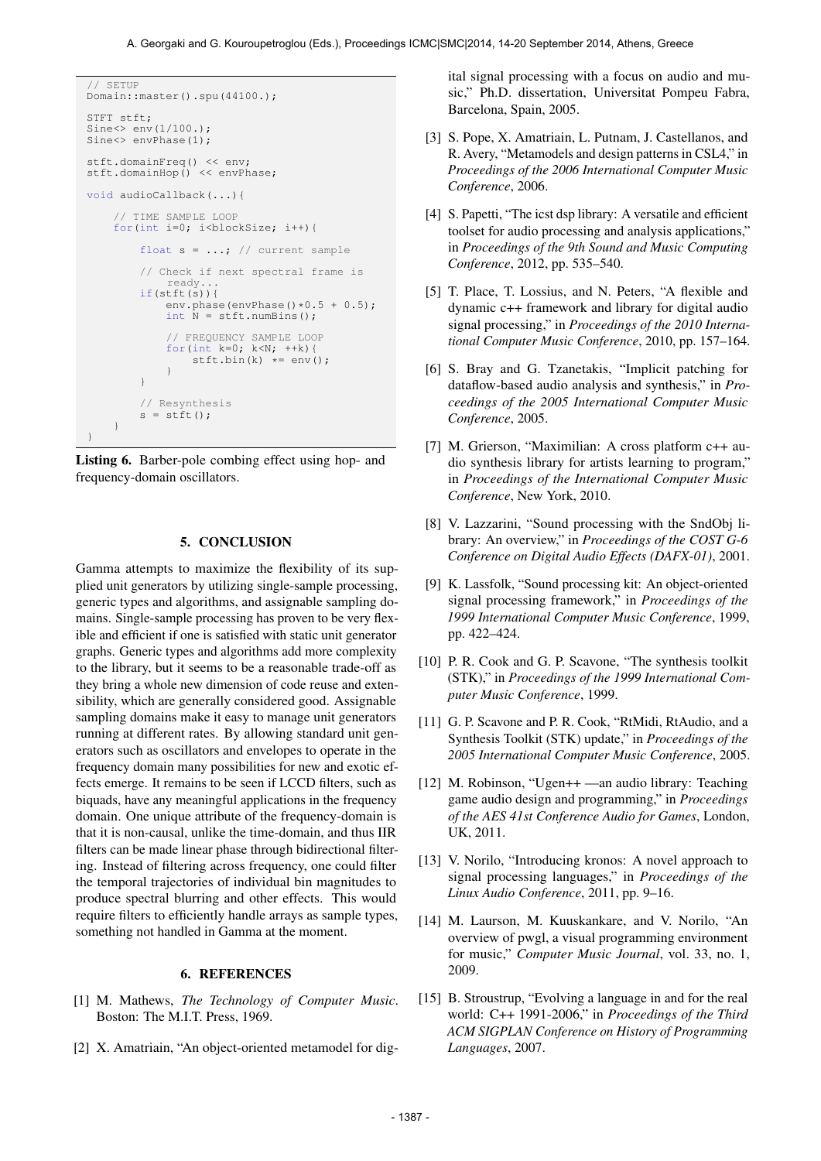```
// SETUP
Domain::master().spu(44100.);
STFT stft;
Sine \gg env(1/100.);Sine<> envPhase(1):
stft.domainFreq() << env;
stft.domainHop() << envPhase;
void audioCallback(...){
     // TIME SAMPLE LOOP
    for(int i=0; i<br/>blockSize; i++){
         float s = ...; // current sample
         // Check if next spectral frame is
              ready...
         if(stft(s)){
             env.phase(envPhase()*0.5 + 0.5);
              int \bar{N} = \text{stft.numBins}();
              // FREQUENCY SAMPLE LOOP
              for(int k=0; k<N; ++k){<br>stft.bin(k) *= env();
              }
         }
         // Resynthesis
         s = \text{stft}();
    }
}
```
Listing 6. Barber-pole combing effect using hop- and frequency-domain oscillators.

# 5. CONCLUSION

Gamma attempts to maximize the flexibility of its supplied unit generators by utilizing single-sample processing, generic types and algorithms, and assignable sampling domains. Single-sample processing has proven to be very flexible and efficient if one is satisfied with static unit generator graphs. Generic types and algorithms add more complexity to the library, but it seems to be a reasonable trade-off as they bring a whole new dimension of code reuse and extensibility, which are generally considered good. Assignable sampling domains make it easy to manage unit generators running at different rates. By allowing standard unit generators such as oscillators and envelopes to operate in the frequency domain many possibilities for new and exotic effects emerge. It remains to be seen if LCCD filters, such as biquads, have any meaningful applications in the frequency domain. One unique attribute of the frequency-domain is that it is non-causal, unlike the time-domain, and thus IIR filters can be made linear phase through bidirectional filtering. Instead of filtering across frequency, one could filter the temporal trajectories of individual bin magnitudes to produce spectral blurring and other effects. This would require filters to efficiently handle arrays as sample types, something not handled in Gamma at the moment.

# 6. REFERENCES

- [1] M. Mathews, *The Technology of Computer Music*. Boston: The M.I.T. Press, 1969.
- [2] X. Amatriain, "An object-oriented metamodel for dig-

ital signal processing with a focus on audio and music," Ph.D. dissertation, Universitat Pompeu Fabra, Barcelona, Spain, 2005.

- [3] S. Pope, X. Amatriain, L. Putnam, J. Castellanos, and R. Avery, "Metamodels and design patterns in CSL4," in *Proceedings of the 2006 International Computer Music Conference*, 2006.
- [4] S. Papetti, "The icst dsp library: A versatile and efficient toolset for audio processing and analysis applications," in *Proceedings of the 9th Sound and Music Computing Conference*, 2012, pp. 535–540.
- [5] T. Place, T. Lossius, and N. Peters, "A flexible and dynamic c++ framework and library for digital audio signal processing," in *Proceedings of the 2010 International Computer Music Conference*, 2010, pp. 157–164.
- [6] S. Bray and G. Tzanetakis, "Implicit patching for dataflow-based audio analysis and synthesis," in *Proceedings of the 2005 International Computer Music Conference*, 2005.
- [7] M. Grierson, "Maximilian: A cross platform c++ audio synthesis library for artists learning to program," in *Proceedings of the International Computer Music Conference*, New York, 2010.
- [8] V. Lazzarini, "Sound processing with the SndObj library: An overview," in *Proceedings of the COST G-6 Conference on Digital Audio Effects (DAFX-01)*, 2001.
- [9] K. Lassfolk, "Sound processing kit: An object-oriented signal processing framework," in *Proceedings of the 1999 International Computer Music Conference*, 1999, pp. 422–424.
- [10] P. R. Cook and G. P. Scavone, "The synthesis toolkit (STK)," in *Proceedings of the 1999 International Computer Music Conference*, 1999.
- [11] G. P. Scavone and P. R. Cook, "RtMidi, RtAudio, and a Synthesis Toolkit (STK) update," in *Proceedings of the 2005 International Computer Music Conference*, 2005.
- [12] M. Robinson, "Ugen++ —an audio library: Teaching game audio design and programming," in *Proceedings of the AES 41st Conference Audio for Games*, London, UK, 2011.
- [13] V. Norilo, "Introducing kronos: A novel approach to signal processing languages," in *Proceedings of the Linux Audio Conference*, 2011, pp. 9–16.
- [14] M. Laurson, M. Kuuskankare, and V. Norilo, "An overview of pwgl, a visual programming environment for music," *Computer Music Journal*, vol. 33, no. 1, 2009.
- [15] B. Stroustrup, "Evolving a language in and for the real world: C++ 1991-2006," in *Proceedings of the Third ACM SIGPLAN Conference on History of Programming Languages*, 2007.